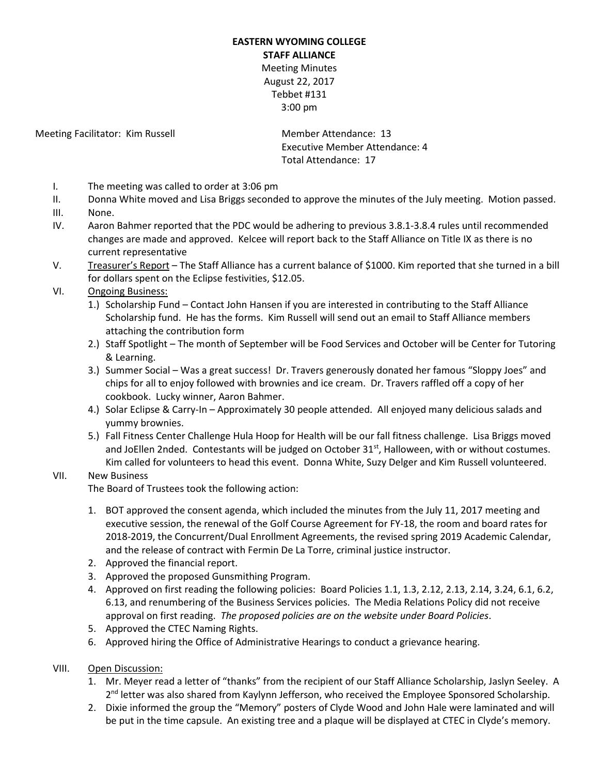## **EASTERN WYOMING COLLEGE STAFF ALLIANCE** Meeting Minutes August 22, 2017 Tebbet #131 3:00 pm

Meeting Facilitator: Kim Russell Member Attendance: 13

Executive Member Attendance: 4 Total Attendance: 17

- I. The meeting was called to order at 3:06 pm
- II. Donna White moved and Lisa Briggs seconded to approve the minutes of the July meeting. Motion passed.
- III. None.
- IV. Aaron Bahmer reported that the PDC would be adhering to previous 3.8.1-3.8.4 rules until recommended changes are made and approved. Kelcee will report back to the Staff Alliance on Title IX as there is no current representative
- V. Treasurer's Report The Staff Alliance has a current balance of \$1000. Kim reported that she turned in a bill for dollars spent on the Eclipse festivities, \$12.05.

## VI. Ongoing Business:

- 1.) Scholarship Fund Contact John Hansen if you are interested in contributing to the Staff Alliance Scholarship fund. He has the forms. Kim Russell will send out an email to Staff Alliance members attaching the contribution form
- 2.) Staff Spotlight The month of September will be Food Services and October will be Center for Tutoring & Learning.
- 3.) Summer Social Was a great success! Dr. Travers generously donated her famous "Sloppy Joes" and chips for all to enjoy followed with brownies and ice cream. Dr. Travers raffled off a copy of her cookbook. Lucky winner, Aaron Bahmer.
- 4.) Solar Eclipse & Carry-In Approximately 30 people attended. All enjoyed many delicious salads and yummy brownies.
- 5.) Fall Fitness Center Challenge Hula Hoop for Health will be our fall fitness challenge. Lisa Briggs moved and JoEllen 2nded. Contestants will be judged on October 31<sup>st</sup>, Halloween, with or without costumes. Kim called for volunteers to head this event. Donna White, Suzy Delger and Kim Russell volunteered.

## VII. New Business

The Board of Trustees took the following action:

- 1. BOT approved the consent agenda, which included the minutes from the July 11, 2017 meeting and executive session, the renewal of the Golf Course Agreement for FY-18, the room and board rates for 2018-2019, the Concurrent/Dual Enrollment Agreements, the revised spring 2019 Academic Calendar, and the release of contract with Fermin De La Torre, criminal justice instructor.
- 2. Approved the financial report.
- 3. Approved the proposed Gunsmithing Program.
- 4. Approved on first reading the following policies: Board Policies 1.1, 1.3, 2.12, 2.13, 2.14, 3.24, 6.1, 6.2, 6.13, and renumbering of the Business Services policies. The Media Relations Policy did not receive approval on first reading. *The proposed policies are on the website under Board Policies*.
- 5. Approved the CTEC Naming Rights.
- 6. Approved hiring the Office of Administrative Hearings to conduct a grievance hearing.
- VIII. Open Discussion:
	- 1. Mr. Meyer read a letter of "thanks" from the recipient of our Staff Alliance Scholarship, Jaslyn Seeley. A 2<sup>nd</sup> letter was also shared from Kaylynn Jefferson, who received the Employee Sponsored Scholarship.
	- 2. Dixie informed the group the "Memory" posters of Clyde Wood and John Hale were laminated and will be put in the time capsule. An existing tree and a plaque will be displayed at CTEC in Clyde's memory.